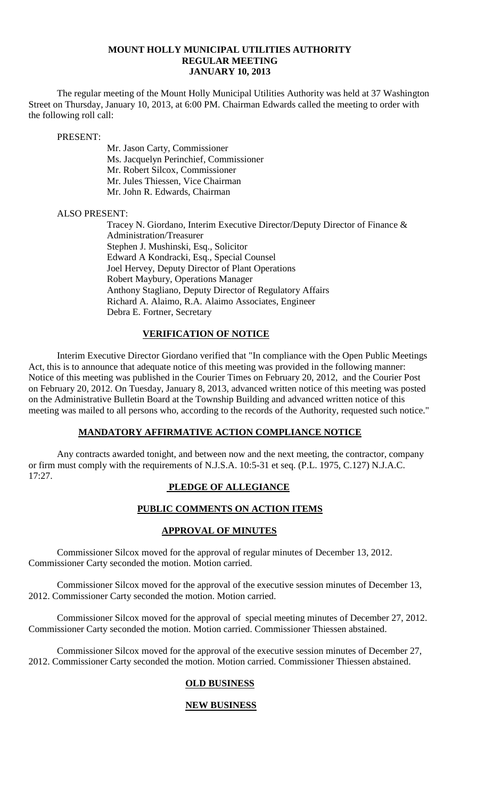### **MOUNT HOLLY MUNICIPAL UTILITIES AUTHORITY REGULAR MEETING JANUARY 10, 2013**

The regular meeting of the Mount Holly Municipal Utilities Authority was held at 37 Washington Street on Thursday, January 10, 2013, at 6:00 PM. Chairman Edwards called the meeting to order with the following roll call:

PRESENT:

Mr. Jason Carty, Commissioner Ms. Jacquelyn Perinchief, Commissioner Mr. Robert Silcox, Commissioner Mr. Jules Thiessen, Vice Chairman Mr. John R. Edwards, Chairman

ALSO PRESENT:

Tracey N. Giordano, Interim Executive Director/Deputy Director of Finance & Administration/Treasurer Stephen J. Mushinski, Esq., Solicitor Edward A Kondracki, Esq., Special Counsel Joel Hervey, Deputy Director of Plant Operations Robert Maybury, Operations Manager Anthony Stagliano, Deputy Director of Regulatory Affairs Richard A. Alaimo, R.A. Alaimo Associates, Engineer Debra E. Fortner, Secretary

# **VERIFICATION OF NOTICE**

Interim Executive Director Giordano verified that "In compliance with the Open Public Meetings Act, this is to announce that adequate notice of this meeting was provided in the following manner: Notice of this meeting was published in the Courier Times on February 20, 2012, and the Courier Post on February 20, 2012. On Tuesday, January 8, 2013, advanced written notice of this meeting was posted on the Administrative Bulletin Board at the Township Building and advanced written notice of this meeting was mailed to all persons who, according to the records of the Authority, requested such notice."

### **MANDATORY AFFIRMATIVE ACTION COMPLIANCE NOTICE**

Any contracts awarded tonight, and between now and the next meeting, the contractor, company or firm must comply with the requirements of N.J.S.A. 10:5-31 et seq. (P.L. 1975, C.127) N.J.A.C. 17:27.

# **PLEDGE OF ALLEGIANCE**

# **PUBLIC COMMENTS ON ACTION ITEMS**

# **APPROVAL OF MINUTES**

Commissioner Silcox moved for the approval of regular minutes of December 13, 2012. Commissioner Carty seconded the motion. Motion carried.

Commissioner Silcox moved for the approval of the executive session minutes of December 13, 2012. Commissioner Carty seconded the motion. Motion carried.

Commissioner Silcox moved for the approval of special meeting minutes of December 27, 2012. Commissioner Carty seconded the motion. Motion carried. Commissioner Thiessen abstained.

Commissioner Silcox moved for the approval of the executive session minutes of December 27, 2012. Commissioner Carty seconded the motion. Motion carried. Commissioner Thiessen abstained.

# **OLD BUSINESS**

# **NEW BUSINESS**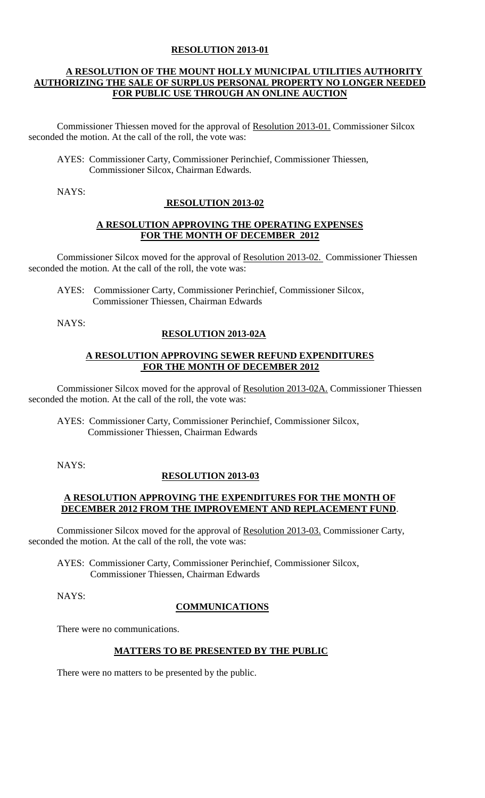### **RESOLUTION 2013-01**

### **A RESOLUTION OF THE MOUNT HOLLY MUNICIPAL UTILITIES AUTHORITY AUTHORIZING THE SALE OF SURPLUS PERSONAL PROPERTY NO LONGER NEEDED FOR PUBLIC USE THROUGH AN ONLINE AUCTION**

Commissioner Thiessen moved for the approval of Resolution 2013-01. Commissioner Silcox seconded the motion. At the call of the roll, the vote was:

AYES: Commissioner Carty, Commissioner Perinchief, Commissioner Thiessen, Commissioner Silcox, Chairman Edwards.

NAYS:

### **RESOLUTION 2013-02**

#### **A RESOLUTION APPROVING THE OPERATING EXPENSES FOR THE MONTH OF DECEMBER 2012**

Commissioner Silcox moved for the approval of Resolution 2013-02. Commissioner Thiessen seconded the motion. At the call of the roll, the vote was:

 AYES: Commissioner Carty, Commissioner Perinchief, Commissioner Silcox, Commissioner Thiessen, Chairman Edwards

NAYS:

### **RESOLUTION 2013-02A**

#### **A RESOLUTION APPROVING SEWER REFUND EXPENDITURES FOR THE MONTH OF DECEMBER 2012**

Commissioner Silcox moved for the approval of Resolution 2013-02A. Commissioner Thiessen seconded the motion. At the call of the roll, the vote was:

AYES: Commissioner Carty, Commissioner Perinchief, Commissioner Silcox, Commissioner Thiessen, Chairman Edwards

NAYS:

### **RESOLUTION 2013-03**

### **A RESOLUTION APPROVING THE EXPENDITURES FOR THE MONTH OF DECEMBER 2012 FROM THE IMPROVEMENT AND REPLACEMENT FUND**.

Commissioner Silcox moved for the approval of Resolution 2013-03. Commissioner Carty, seconded the motion. At the call of the roll, the vote was:

AYES: Commissioner Carty, Commissioner Perinchief, Commissioner Silcox, Commissioner Thiessen, Chairman Edwards

NAYS:

### **COMMUNICATIONS**

There were no communications.

### **MATTERS TO BE PRESENTED BY THE PUBLIC**

There were no matters to be presented by the public.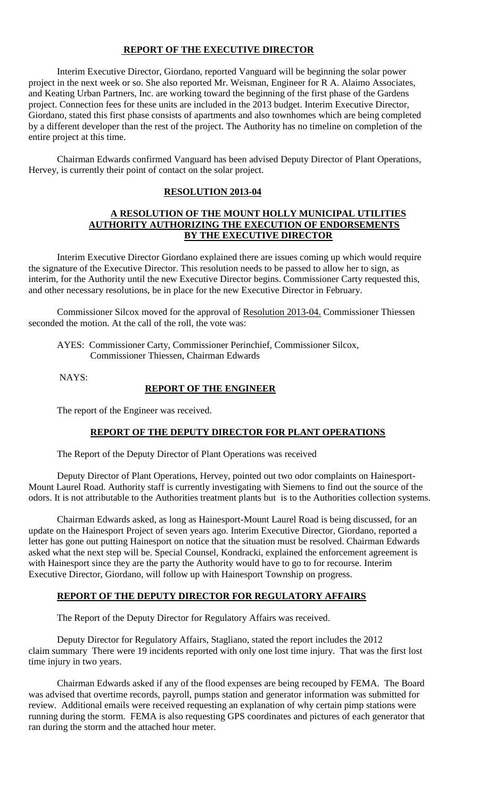### **REPORT OF THE EXECUTIVE DIRECTOR**

Interim Executive Director, Giordano, reported Vanguard will be beginning the solar power project in the next week or so. She also reported Mr. Weisman, Engineer for R A. Alaimo Associates, and Keating Urban Partners, Inc. are working toward the beginning of the first phase of the Gardens project. Connection fees for these units are included in the 2013 budget. Interim Executive Director, Giordano, stated this first phase consists of apartments and also townhomes which are being completed by a different developer than the rest of the project. The Authority has no timeline on completion of the entire project at this time.

Chairman Edwards confirmed Vanguard has been advised Deputy Director of Plant Operations, Hervey, is currently their point of contact on the solar project.

#### **RESOLUTION 2013-04**

#### **A RESOLUTION OF THE MOUNT HOLLY MUNICIPAL UTILITIES AUTHORITY AUTHORIZING THE EXECUTION OF ENDORSEMENTS BY THE EXECUTIVE DIRECTOR**

Interim Executive Director Giordano explained there are issues coming up which would require the signature of the Executive Director. This resolution needs to be passed to allow her to sign, as interim, for the Authority until the new Executive Director begins. Commissioner Carty requested this, and other necessary resolutions, be in place for the new Executive Director in February.

Commissioner Silcox moved for the approval of Resolution 2013-04. Commissioner Thiessen seconded the motion. At the call of the roll, the vote was:

AYES: Commissioner Carty, Commissioner Perinchief, Commissioner Silcox, Commissioner Thiessen, Chairman Edwards

NAYS:

#### **REPORT OF THE ENGINEER**

The report of the Engineer was received.

#### **REPORT OF THE DEPUTY DIRECTOR FOR PLANT OPERATIONS**

The Report of the Deputy Director of Plant Operations was received

Deputy Director of Plant Operations, Hervey, pointed out two odor complaints on Hainesport-Mount Laurel Road. Authority staff is currently investigating with Siemens to find out the source of the odors. It is not attributable to the Authorities treatment plants but is to the Authorities collection systems.

Chairman Edwards asked, as long as Hainesport-Mount Laurel Road is being discussed, for an update on the Hainesport Project of seven years ago. Interim Executive Director, Giordano, reported a letter has gone out putting Hainesport on notice that the situation must be resolved. Chairman Edwards asked what the next step will be. Special Counsel, Kondracki, explained the enforcement agreement is with Hainesport since they are the party the Authority would have to go to for recourse. Interim Executive Director, Giordano, will follow up with Hainesport Township on progress.

#### **REPORT OF THE DEPUTY DIRECTOR FOR REGULATORY AFFAIRS**

The Report of the Deputy Director for Regulatory Affairs was received.

Deputy Director for Regulatory Affairs, Stagliano, stated the report includes the 2012 claim summary There were 19 incidents reported with only one lost time injury. That was the first lost time injury in two years.

Chairman Edwards asked if any of the flood expenses are being recouped by FEMA. The Board was advised that overtime records, payroll, pumps station and generator information was submitted for review. Additional emails were received requesting an explanation of why certain pimp stations were running during the storm. FEMA is also requesting GPS coordinates and pictures of each generator that ran during the storm and the attached hour meter.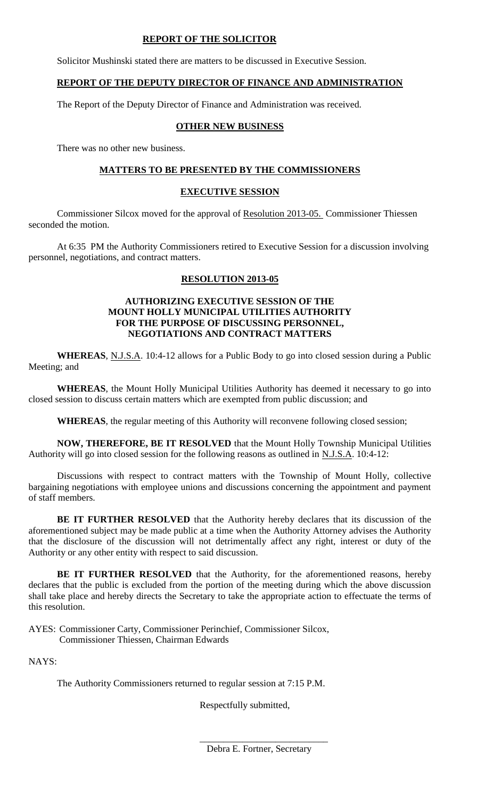### **REPORT OF THE SOLICITOR**

Solicitor Mushinski stated there are matters to be discussed in Executive Session.

### **REPORT OF THE DEPUTY DIRECTOR OF FINANCE AND ADMINISTRATION**

The Report of the Deputy Director of Finance and Administration was received.

# **OTHER NEW BUSINESS**

There was no other new business.

# **MATTERS TO BE PRESENTED BY THE COMMISSIONERS**

# **EXECUTIVE SESSION**

Commissioner Silcox moved for the approval of Resolution 2013-05. Commissioner Thiessen seconded the motion.

At 6:35 PM the Authority Commissioners retired to Executive Session for a discussion involving personnel, negotiations, and contract matters.

# **RESOLUTION 2013-05**

### **AUTHORIZING EXECUTIVE SESSION OF THE MOUNT HOLLY MUNICIPAL UTILITIES AUTHORITY FOR THE PURPOSE OF DISCUSSING PERSONNEL, NEGOTIATIONS AND CONTRACT MATTERS**

**WHEREAS**, N.J.S.A. 10:4-12 allows for a Public Body to go into closed session during a Public Meeting; and

**WHEREAS**, the Mount Holly Municipal Utilities Authority has deemed it necessary to go into closed session to discuss certain matters which are exempted from public discussion; and

**WHEREAS**, the regular meeting of this Authority will reconvene following closed session;

**NOW, THEREFORE, BE IT RESOLVED** that the Mount Holly Township Municipal Utilities Authority will go into closed session for the following reasons as outlined in N.J.S.A. 10:4-12:

Discussions with respect to contract matters with the Township of Mount Holly, collective bargaining negotiations with employee unions and discussions concerning the appointment and payment of staff members.

**BE IT FURTHER RESOLVED** that the Authority hereby declares that its discussion of the aforementioned subject may be made public at a time when the Authority Attorney advises the Authority that the disclosure of the discussion will not detrimentally affect any right, interest or duty of the Authority or any other entity with respect to said discussion.

**BE IT FURTHER RESOLVED** that the Authority, for the aforementioned reasons, hereby declares that the public is excluded from the portion of the meeting during which the above discussion shall take place and hereby directs the Secretary to take the appropriate action to effectuate the terms of this resolution.

AYES: Commissioner Carty, Commissioner Perinchief, Commissioner Silcox, Commissioner Thiessen, Chairman Edwards

NAYS:

The Authority Commissioners returned to regular session at 7:15 P.M.

Respectfully submitted,